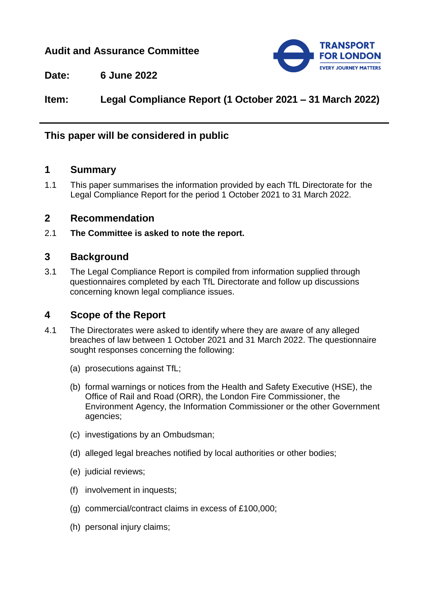# **Audit and Assurance Committee**



**Date: 6 June 2022**

**Item: Legal Compliance Report (1 October 2021 – 31 March 2022)**

# **This paper will be considered in public**

## **1 Summary**

1.1 This paper summarises the information provided by each TfL Directorate for the Legal Compliance Report for the period 1 October 2021 to 31 March 2022.

## **2 Recommendation**

2.1 **The Committee is asked to note the report.**

## **3 Background**

3.1 The Legal Compliance Report is compiled from information supplied through questionnaires completed by each TfL Directorate and follow up discussions concerning known legal compliance issues.

## **4 Scope of the Report**

- 4.1 The Directorates were asked to identify where they are aware of any alleged breaches of law between 1 October 2021 and 31 March 2022. The questionnaire sought responses concerning the following:
	- (a) prosecutions against TfL;
	- (b) formal warnings or notices from the Health and Safety Executive (HSE), the Office of Rail and Road (ORR), the London Fire Commissioner, the Environment Agency, the Information Commissioner or the other Government agencies;
	- (c) investigations by an Ombudsman;
	- (d) alleged legal breaches notified by local authorities or other bodies;
	- (e) judicial reviews;
	- (f) involvement in inquests;
	- (g) commercial/contract claims in excess of £100,000;
	- (h) personal injury claims;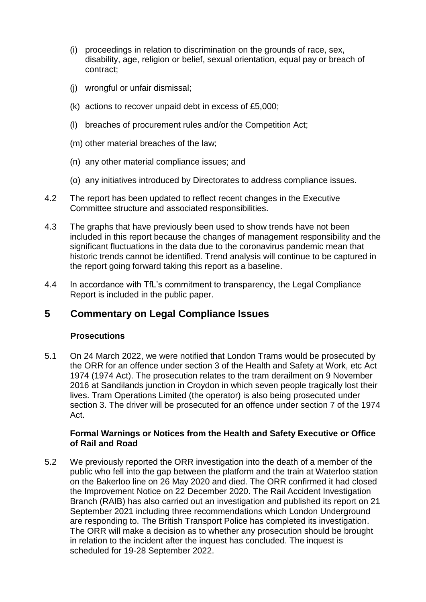- (i) proceedings in relation to discrimination on the grounds of race, sex, disability, age, religion or belief, sexual orientation, equal pay or breach of contract;
- (j) wrongful or unfair dismissal;
- (k) actions to recover unpaid debt in excess of £5,000;
- (l) breaches of procurement rules and/or the Competition Act;
- (m) other material breaches of the law;
- (n) any other material compliance issues; and
- (o) any initiatives introduced by Directorates to address compliance issues.
- 4.2 The report has been updated to reflect recent changes in the Executive Committee structure and associated responsibilities.
- 4.3 The graphs that have previously been used to show trends have not been included in this report because the changes of management responsibility and the significant fluctuations in the data due to the coronavirus pandemic mean that historic trends cannot be identified. Trend analysis will continue to be captured in the report going forward taking this report as a baseline.
- 4.4 In accordance with TfL's commitment to transparency, the Legal Compliance Report is included in the public paper.

# **5 Commentary on Legal Compliance Issues**

### **Prosecutions**

5.1 On 24 March 2022, we were notified that London Trams would be prosecuted by the ORR for an offence under section 3 of the Health and Safety at Work, etc Act 1974 (1974 Act). The prosecution relates to the tram derailment on 9 November 2016 at Sandilands junction in Croydon in which seven people tragically lost their lives. Tram Operations Limited (the operator) is also being prosecuted under section 3. The driver will be prosecuted for an offence under section 7 of the 1974 Act.

### **Formal Warnings or Notices from the Health and Safety Executive or Office of Rail and Road**

5.2 We previously reported the ORR investigation into the death of a member of the public who fell into the gap between the platform and the train at Waterloo station on the Bakerloo line on 26 May 2020 and died. The ORR confirmed it had closed the Improvement Notice on 22 December 2020. The Rail Accident Investigation Branch (RAIB) has also carried out an investigation and published its report on 21 September 2021 including three recommendations which London Underground are responding to. The British Transport Police has completed its investigation. The ORR will make a decision as to whether any prosecution should be brought in relation to the incident after the inquest has concluded. The inquest is scheduled for 19-28 September 2022.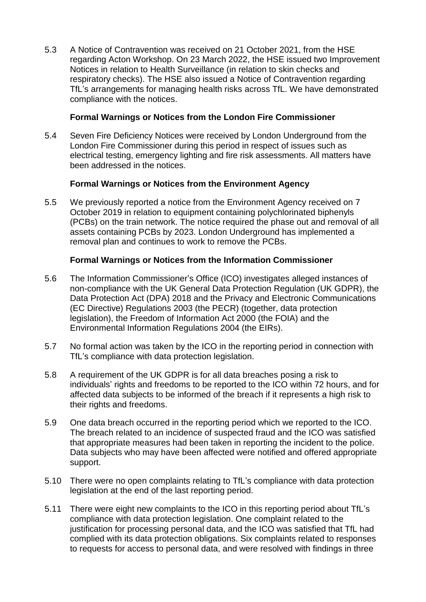5.3 A Notice of Contravention was received on 21 October 2021, from the HSE regarding Acton Workshop. On 23 March 2022, the HSE issued two Improvement Notices in relation to Health Surveillance (in relation to skin checks and respiratory checks). The HSE also issued a Notice of Contravention regarding TfL's arrangements for managing health risks across TfL. We have demonstrated compliance with the notices.

### **Formal Warnings or Notices from the London Fire Commissioner**

5.4 Seven Fire Deficiency Notices were received by London Underground from the London Fire Commissioner during this period in respect of issues such as electrical testing, emergency lighting and fire risk assessments. All matters have been addressed in the notices.

### **Formal Warnings or Notices from the Environment Agency**

5.5 We previously reported a notice from the Environment Agency received on 7 October 2019 in relation to equipment containing polychlorinated biphenyls (PCBs) on the train network. The notice required the phase out and removal of all assets containing PCBs by 2023. London Underground has implemented a removal plan and continues to work to remove the PCBs.

### **Formal Warnings or Notices from the Information Commissioner**

- 5.6 The Information Commissioner's Office (ICO) investigates alleged instances of non-compliance with the UK General Data Protection Regulation (UK GDPR), the Data Protection Act (DPA) 2018 and the Privacy and Electronic Communications (EC Directive) Regulations 2003 (the PECR) (together, data protection legislation), the Freedom of Information Act 2000 (the FOIA) and the Environmental Information Regulations 2004 (the EIRs).
- 5.7 No formal action was taken by the ICO in the reporting period in connection with TfL's compliance with data protection legislation.
- 5.8 A requirement of the UK GDPR is for all data breaches posing a risk to individuals' rights and freedoms to be reported to the ICO within 72 hours, and for affected data subjects to be informed of the breach if it represents a high risk to their rights and freedoms.
- 5.9 One data breach occurred in the reporting period which we reported to the ICO. The breach related to an incidence of suspected fraud and the ICO was satisfied that appropriate measures had been taken in reporting the incident to the police. Data subjects who may have been affected were notified and offered appropriate support.
- 5.10 There were no open complaints relating to TfL's compliance with data protection legislation at the end of the last reporting period.
- 5.11 There were eight new complaints to the ICO in this reporting period about TfL's compliance with data protection legislation. One complaint related to the justification for processing personal data, and the ICO was satisfied that TfL had complied with its data protection obligations. Six complaints related to responses to requests for access to personal data, and were resolved with findings in three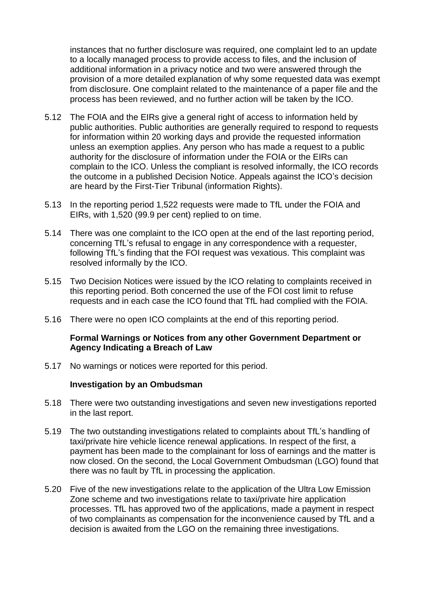instances that no further disclosure was required, one complaint led to an update to a locally managed process to provide access to files, and the inclusion of additional information in a privacy notice and two were answered through the provision of a more detailed explanation of why some requested data was exempt from disclosure. One complaint related to the maintenance of a paper file and the process has been reviewed, and no further action will be taken by the ICO.

- 5.12 The FOIA and the EIRs give a general right of access to information held by public authorities. Public authorities are generally required to respond to requests for information within 20 working days and provide the requested information unless an exemption applies. Any person who has made a request to a public authority for the disclosure of information under the FOIA or the EIRs can complain to the ICO. Unless the compliant is resolved informally, the ICO records the outcome in a published Decision Notice. Appeals against the ICO's decision are heard by the First-Tier Tribunal (information Rights).
- 5.13 In the reporting period 1,522 requests were made to TfL under the FOIA and EIRs, with 1,520 (99.9 per cent) replied to on time.
- 5.14 There was one complaint to the ICO open at the end of the last reporting period, concerning TfL's refusal to engage in any correspondence with a requester, following TfL's finding that the FOI request was vexatious. This complaint was resolved informally by the ICO.
- 5.15 Two Decision Notices were issued by the ICO relating to complaints received in this reporting period. Both concerned the use of the FOI cost limit to refuse requests and in each case the ICO found that TfL had complied with the FOIA.
- 5.16 There were no open ICO complaints at the end of this reporting period.

### **Formal Warnings or Notices from any other Government Department or Agency Indicating a Breach of Law**

5.17 No warnings or notices were reported for this period.

### **Investigation by an Ombudsman**

- 5.18 There were two outstanding investigations and seven new investigations reported in the last report.
- 5.19 The two outstanding investigations related to complaints about TfL's handling of taxi/private hire vehicle licence renewal applications. In respect of the first, a payment has been made to the complainant for loss of earnings and the matter is now closed. On the second, the Local Government Ombudsman (LGO) found that there was no fault by TfL in processing the application.
- 5.20 Five of the new investigations relate to the application of the Ultra Low Emission Zone scheme and two investigations relate to taxi/private hire application processes. TfL has approved two of the applications, made a payment in respect of two complainants as compensation for the inconvenience caused by TfL and a decision is awaited from the LGO on the remaining three investigations.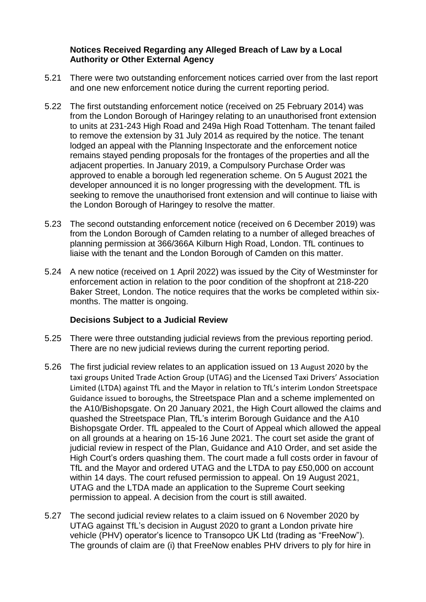### **Notices Received Regarding any Alleged Breach of Law by a Local Authority or Other External Agency**

- 5.21 There were two outstanding enforcement notices carried over from the last report and one new enforcement notice during the current reporting period.
- 5.22 The first outstanding enforcement notice (received on 25 February 2014) was from the London Borough of Haringey relating to an unauthorised front extension to units at 231-243 High Road and 249a High Road Tottenham. The tenant failed to remove the extension by 31 July 2014 as required by the notice. The tenant lodged an appeal with the Planning Inspectorate and the enforcement notice remains stayed pending proposals for the frontages of the properties and all the adjacent properties. In January 2019, a Compulsory Purchase Order was approved to enable a borough led regeneration scheme. On 5 August 2021 the developer announced it is no longer progressing with the development. TfL is seeking to remove the unauthorised front extension and will continue to liaise with the London Borough of Haringey to resolve the matter.
- 5.23 The second outstanding enforcement notice (received on 6 December 2019) was from the London Borough of Camden relating to a number of alleged breaches of planning permission at 366/366A Kilburn High Road, London. TfL continues to liaise with the tenant and the London Borough of Camden on this matter.
- 5.24 A new notice (received on 1 April 2022) was issued by the City of Westminster for enforcement action in relation to the poor condition of the shopfront at 218-220 Baker Street, London. The notice requires that the works be completed within sixmonths. The matter is ongoing.

### **Decisions Subject to a Judicial Review**

- 5.25 There were three outstanding judicial reviews from the previous reporting period. There are no new judicial reviews during the current reporting period.
- 5.26 The first judicial review relates to an application issued on 13 August 2020 by the taxi groups United Trade Action Group (UTAG) and the Licensed Taxi Drivers' Association Limited (LTDA) against TfL and the Mayor in relation to TfL's interim London Streetspace Guidance issued to boroughs, the Streetspace Plan and a scheme implemented on the A10/Bishopsgate. On 20 January 2021, the High Court allowed the claims and quashed the Streetspace Plan, TfL's interim Borough Guidance and the A10 Bishopsgate Order. TfL appealed to the Court of Appeal which allowed the appeal on all grounds at a hearing on 15-16 June 2021. The court set aside the grant of judicial review in respect of the Plan, Guidance and A10 Order, and set aside the High Court's orders quashing them. The court made a full costs order in favour of TfL and the Mayor and ordered UTAG and the LTDA to pay £50,000 on account within 14 days. The court refused permission to appeal. On 19 August 2021, UTAG and the LTDA made an application to the Supreme Court seeking permission to appeal. A decision from the court is still awaited.
- 5.27 The second judicial review relates to a claim issued on 6 November 2020 by UTAG against TfL's decision in August 2020 to grant a London private hire vehicle (PHV) operator's licence to Transopco UK Ltd (trading as "FreeNow"). The grounds of claim are (i) that FreeNow enables PHV drivers to ply for hire in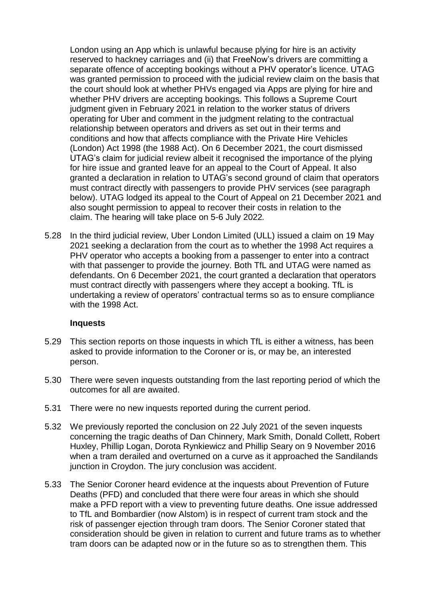London using an App which is unlawful because plying for hire is an activity reserved to hackney carriages and (ii) that FreeNow's drivers are committing a separate offence of accepting bookings without a PHV operator's licence. UTAG was granted permission to proceed with the judicial review claim on the basis that the court should look at whether PHVs engaged via Apps are plying for hire and whether PHV drivers are accepting bookings. This follows a Supreme Court judgment given in February 2021 in relation to the worker status of drivers operating for Uber and comment in the judgment relating to the contractual relationship between operators and drivers as set out in their terms and conditions and how that affects compliance with the Private Hire Vehicles (London) Act 1998 (the 1988 Act). On 6 December 2021, the court dismissed UTAG's claim for judicial review albeit it recognised the importance of the plying for hire issue and granted leave for an appeal to the Court of Appeal. It also granted a declaration in relation to UTAG's second ground of claim that operators must contract directly with passengers to provide PHV services (see paragraph below). UTAG lodged its appeal to the Court of Appeal on 21 December 2021 and also sought permission to appeal to recover their costs in relation to the claim. The hearing will take place on 5-6 July 2022*.* 

5.28 In the third judicial review, Uber London Limited (ULL) issued a claim on 19 May 2021 seeking a declaration from the court as to whether the 1998 Act requires a PHV operator who accepts a booking from a passenger to enter into a contract with that passenger to provide the journey. Both TfL and UTAG were named as defendants. On 6 December 2021, the court granted a declaration that operators must contract directly with passengers where they accept a booking. TfL is undertaking a review of operators' contractual terms so as to ensure compliance with the 1998 Act.

#### **Inquests**

- 5.29 This section reports on those inquests in which TfL is either a witness, has been asked to provide information to the Coroner or is, or may be, an interested person.
- 5.30 There were seven inquests outstanding from the last reporting period of which the outcomes for all are awaited.
- 5.31 There were no new inquests reported during the current period.
- 5.32 We previously reported the conclusion on 22 July 2021 of the seven inquests concerning the tragic deaths of Dan Chinnery, Mark Smith, Donald Collett, Robert Huxley, Phillip Logan, Dorota Rynkiewicz and Phillip Seary on 9 November 2016 when a tram derailed and overturned on a curve as it approached the Sandilands junction in Croydon. The jury conclusion was accident.
- 5.33 The Senior Coroner heard evidence at the inquests about Prevention of Future Deaths (PFD) and concluded that there were four areas in which she should make a PFD report with a view to preventing future deaths. One issue addressed to TfL and Bombardier (now Alstom) is in respect of current tram stock and the risk of passenger ejection through tram doors. The Senior Coroner stated that consideration should be given in relation to current and future trams as to whether tram doors can be adapted now or in the future so as to strengthen them. This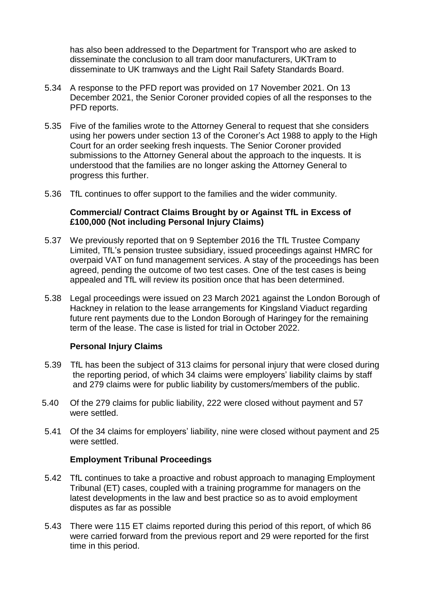has also been addressed to the Department for Transport who are asked to disseminate the conclusion to all tram door manufacturers, UKTram to disseminate to UK tramways and the Light Rail Safety Standards Board.

- 5.34 A response to the PFD report was provided on 17 November 2021. On 13 December 2021, the Senior Coroner provided copies of all the responses to the PFD reports.
- 5.35 Five of the families wrote to the Attorney General to request that she considers using her powers under section 13 of the Coroner's Act 1988 to apply to the High Court for an order seeking fresh inquests. The Senior Coroner provided submissions to the Attorney General about the approach to the inquests. It is understood that the families are no longer asking the Attorney General to progress this further.
- 5.36 TfL continues to offer support to the families and the wider community.

### **Commercial/ Contract Claims Brought by or Against TfL in Excess of £100,000 (Not including Personal Injury Claims)**

- 5.37 We previously reported that on 9 September 2016 the TfL Trustee Company Limited, TfL's pension trustee subsidiary, issued proceedings against HMRC for overpaid VAT on fund management services. A stay of the proceedings has been agreed, pending the outcome of two test cases. One of the test cases is being appealed and TfL will review its position once that has been determined.
- 5.38 Legal proceedings were issued on 23 March 2021 against the London Borough of Hackney in relation to the lease arrangements for Kingsland Viaduct regarding future rent payments due to the London Borough of Haringey for the remaining term of the lease. The case is listed for trial in October 2022.

### **Personal Injury Claims**

- 5.39 TfL has been the subject of 313 claims for personal injury that were closed during the reporting period, of which 34 claims were employers' liability claims by staff and 279 claims were for public liability by customers/members of the public.
- 5.40 Of the 279 claims for public liability, 222 were closed without payment and 57 were settled.
- 5.41 Of the 34 claims for employers' liability, nine were closed without payment and 25 were settled.

### **Employment Tribunal Proceedings**

- 5.42 TfL continues to take a proactive and robust approach to managing Employment Tribunal (ET) cases, coupled with a training programme for managers on the latest developments in the law and best practice so as to avoid employment disputes as far as possible
- 5.43 There were 115 ET claims reported during this period of this report, of which 86 were carried forward from the previous report and 29 were reported for the first time in this period.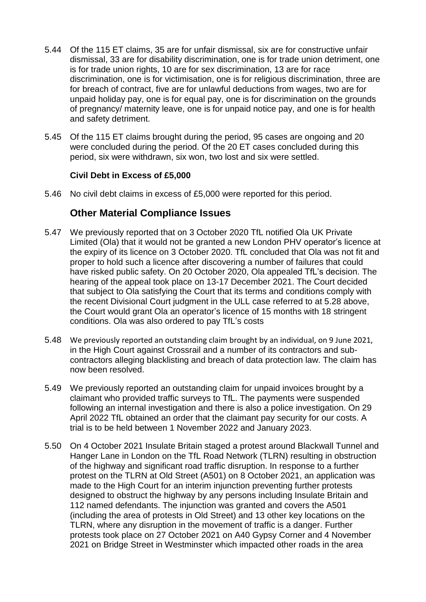- 5.44 Of the 115 ET claims, 35 are for unfair dismissal, six are for constructive unfair dismissal, 33 are for disability discrimination, one is for trade union detriment, one is for trade union rights, 10 are for sex discrimination, 13 are for race discrimination, one is for victimisation, one is for religious discrimination, three are for breach of contract, five are for unlawful deductions from wages, two are for unpaid holiday pay, one is for equal pay, one is for discrimination on the grounds of pregnancy/ maternity leave, one is for unpaid notice pay, and one is for health and safety detriment.
- 5.45 Of the 115 ET claims brought during the period, 95 cases are ongoing and 20 were concluded during the period. Of the 20 ET cases concluded during this period, six were withdrawn, six won, two lost and six were settled.

### **Civil Debt in Excess of £5,000**

5.46 No civil debt claims in excess of £5,000 were reported for this period.

# **Other Material Compliance Issues**

- 5.47 We previously reported that on 3 October 2020 TfL notified Ola UK Private Limited (Ola) that it would not be granted a new London PHV operator's licence at the expiry of its licence on 3 October 2020. TfL concluded that Ola was not fit and proper to hold such a licence after discovering a number of failures that could have risked public safety. On 20 October 2020, Ola appealed TfL's decision. The hearing of the appeal took place on 13-17 December 2021. The Court decided that subject to Ola satisfying the Court that its terms and conditions comply with the recent Divisional Court judgment in the ULL case referred to at 5.28 above, the Court would grant Ola an operator's licence of 15 months with 18 stringent conditions. Ola was also ordered to pay TfL's costs
- 5.48 We previously reported an outstanding claim brought by an individual, on 9 June 2021, in the High Court against Crossrail and a number of its contractors and subcontractors alleging blacklisting and breach of data protection law. The claim has now been resolved.
- 5.49 We previously reported an outstanding claim for unpaid invoices brought by a claimant who provided traffic surveys to TfL. The payments were suspended following an internal investigation and there is also a police investigation. On 29 April 2022 TfL obtained an order that the claimant pay security for our costs. A trial is to be held between 1 November 2022 and January 2023.
- 5.50 On 4 October 2021 Insulate Britain staged a protest around Blackwall Tunnel and Hanger Lane in London on the TfL Road Network (TLRN) resulting in obstruction of the highway and significant road traffic disruption. In response to a further protest on the TLRN at Old Street (A501) on 8 October 2021, an application was made to the High Court for an interim injunction preventing further protests designed to obstruct the highway by any persons including Insulate Britain and 112 named defendants. The injunction was granted and covers the A501 (including the area of protests in Old Street) and 13 other key locations on the TLRN, where any disruption in the movement of traffic is a danger. Further protests took place on 27 October 2021 on A40 Gypsy Corner and 4 November 2021 on Bridge Street in Westminster which impacted other roads in the area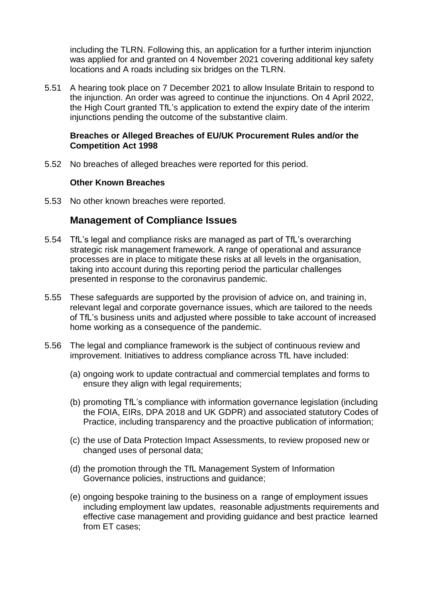including the TLRN. Following this, an application for a further interim injunction was applied for and granted on 4 November 2021 covering additional key safety locations and A roads including six bridges on the TLRN.

5.51 A hearing took place on 7 December 2021 to allow Insulate Britain to respond to the injunction. An order was agreed to continue the injunctions. On 4 April 2022, the High Court granted TfL's application to extend the expiry date of the interim injunctions pending the outcome of the substantive claim.

### **Breaches or Alleged Breaches of EU/UK Procurement Rules and/or the Competition Act 1998**

5.52 No breaches of alleged breaches were reported for this period.

### **Other Known Breaches**

5.53 No other known breaches were reported.

## **Management of Compliance Issues**

- 5.54 TfL's legal and compliance risks are managed as part of TfL's overarching strategic risk management framework. A range of operational and assurance processes are in place to mitigate these risks at all levels in the organisation, taking into account during this reporting period the particular challenges presented in response to the coronavirus pandemic.
- 5.55 These safeguards are supported by the provision of advice on, and training in, relevant legal and corporate governance issues, which are tailored to the needs of TfL's business units and adjusted where possible to take account of increased home working as a consequence of the pandemic.
- 5.56 The legal and compliance framework is the subject of continuous review and improvement. Initiatives to address compliance across TfL have included:
	- (a) ongoing work to update contractual and commercial templates and forms to ensure they align with legal requirements;
	- (b) promoting TfL's compliance with information governance legislation (including the FOIA, EIRs, DPA 2018 and UK GDPR) and associated statutory Codes of Practice, including transparency and the proactive publication of information;
	- (c) the use of Data Protection Impact Assessments, to review proposed new or changed uses of personal data;
	- (d) the promotion through the TfL Management System of Information Governance policies, instructions and guidance;
	- (e) ongoing bespoke training to the business on a range of employment issues including employment law updates, reasonable adjustments requirements and effective case management and providing guidance and best practice learned from ET cases;